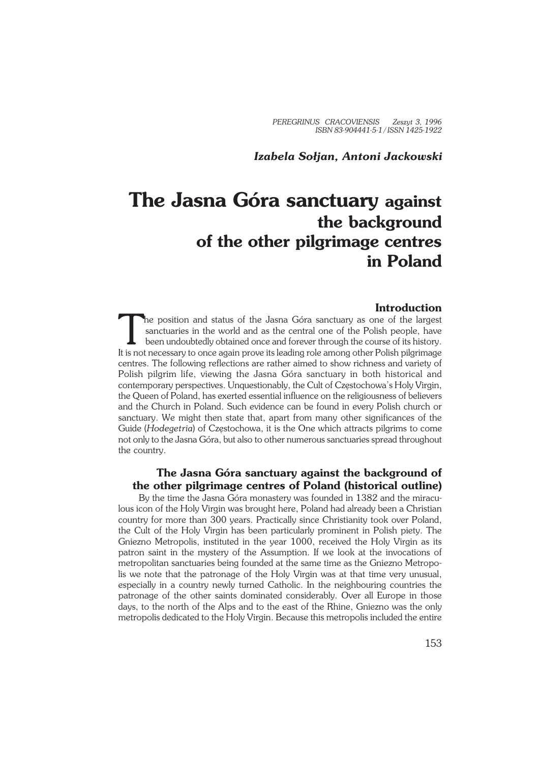# **The Jasna Góra sanctuary against the background of the other pilgrimage centres in Poland**

### **Introduction**

T<br>Itisset he position and status of the Jasna Góra sanctuary as one of the largest sanctuaries in the world and as the central one of the Polish people, have been undoubtedly obtained once and forever through the course of its history. It is not necessary to once again prove its leading role among other Polish pilgrimage centres. The following reflections are rather aimed to show richness and variety of Polish pilgrim life, viewing the Jasna Góra sanctuary in both historical and contemporary perspectives. Unquestionably, the Cult of Częstochowa's Holy Virgin, the Queen of Poland, has exerted essential influence on the religiousness of believers and the Church in Poland. Such evidence can be found in every Polish church or sanctuary. We might then state that, apart from many other significances of the Guide (*Hodegetria*) of Częstochowa, it is the One which attracts pilgrims to come not only to the Jasna Góra, but also to other numerous sanctuaries spread throughout the country.

## **The Jasna Góra sanctuary against the background of the other pilgrimage centres of Poland (historical outline)**

By the time the Jasna Góra monastery was founded in 1382 and the miracu− lous icon of the Holy Virgin was brought here, Poland had already been a Christian country for more than 300 years. Practically since Christianity took over Poland, the Cult of the Holy Virgin has been particularly prominent in Polish piety. The Gniezno Metropolis, instituted in the year 1000, received the Holy Virgin as its patron saint in the mystery of the Assumption. If we look at the invocations of metropolitan sanctuaries being founded at the same time as the Gniezno Metropo− lis we note that the patronage of the Holy Virgin was at that time very unusual, especially in a country newly turned Catholic. In the neighbouring countries the patronage of the other saints dominated considerably. Over all Europe in those days, to the north of the Alps and to the east of the Rhine, Gniezno was the only metropolis dedicated to the Holy Virgin. Because this metropolis included the entire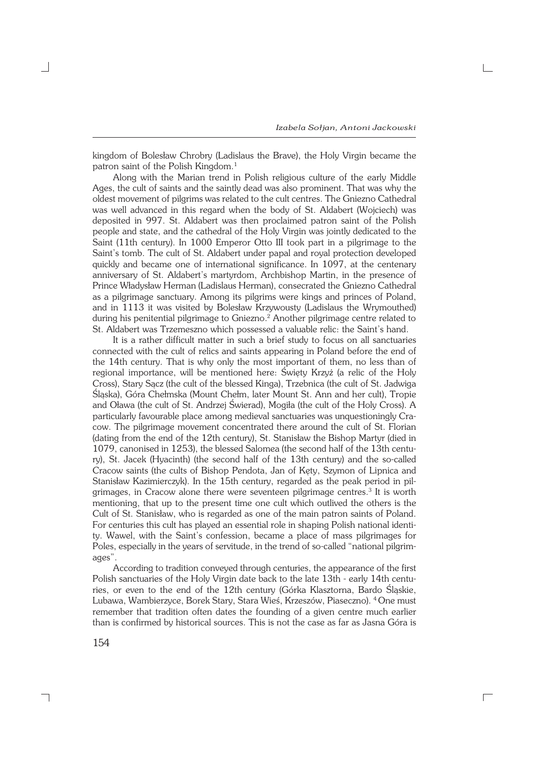kingdom of Bolesław Chrobry (Ladislaus the Brave), the Holy Virgin became the patron saint of the Polish Kingdom.<sup>1</sup>

Along with the Marian trend in Polish religious culture of the early Middle Ages, the cult of saints and the saintly dead was also prominent. That was why the oldest movement of pilgrims was related to the cult centres. The Gniezno Cathedral was well advanced in this regard when the body of St. Aldabert (Wojciech) was deposited in 997. St. Aldabert was then proclaimed patron saint of the Polish people and state, and the cathedral of the Holy Virgin was jointly dedicated to the Saint (11th century). In 1000 Emperor Otto III took part in a pilgrimage to the Saint's tomb. The cult of St. Aldabert under papal and royal protection developed quickly and became one of international significance. In 1097, at the centenary anniversary of St. Aldabert's martyrdom, Archbishop Martin, in the presence of Prince Władysław Herman (Ladislaus Herman), consecrated the Gniezno Cathedral as a pilgrimage sanctuary. Among its pilgrims were kings and princes of Poland, and in 1113 it was visited by Bolesław Krzywousty (Ladislaus the Wrymouthed) during his penitential pilgrimage to Gniezno.<sup>2</sup> Another pilgrimage centre related to St. Aldabert was Trzemeszno which possessed a valuable relic: the Saint's hand.

It is a rather difficult matter in such a brief study to focus on all sanctuaries connected with the cult of relics and saints appearing in Poland before the end of the 14th century. That is why only the most important of them, no less than of regional importance, will be mentioned here: Święty Krzyż (a relic of the Holy Cross), Stary Sącz (the cult of the blessed Kinga), Trzebnica (the cult of St. Jadwiga Śląska), Góra Chełmska (Mount Chełm, later Mount St. Ann and her cult), Tropie and Oława (the cult of St. Andrzej Świerad), Mogiła (the cult of the Holy Cross). A particularly favourable place among medieval sanctuaries was unquestioningly Cra− cow. The pilgrimage movement concentrated there around the cult of St. Florian (dating from the end of the 12th century), St. Stanisław the Bishop Martyr (died in 1079, canonised in 1253), the blessed Salomea (the second half of the 13th centu− ry), St. Jacek (Hyacinth) (the second half of the 13th century) and the so−called Cracow saints (the cults of Bishop Pendota, Jan of Kęty, Szymon of Lipnica and Stanisław Kazimierczyk). In the 15th century, regarded as the peak period in pil− grimages, in Cracow alone there were seventeen pilgrimage centres.<sup>3</sup> It is worth mentioning, that up to the present time one cult which outlived the others is the Cult of St. Stanisław, who is regarded as one of the main patron saints of Poland. For centuries this cult has played an essential role in shaping Polish national identi− ty. Wawel, with the Saint's confession, became a place of mass pilgrimages for Poles, especially in the years of servitude, in the trend of so−called "national pilgrim− ages".

According to tradition conveyed through centuries, the appearance of the first Polish sanctuaries of the Holy Virgin date back to the late 13th - early 14th centuries, or even to the end of the 12th century (Górka Klasztorna, Bardo Śląskie, Lubawa, Wambierzyce, Borek Stary, Stara Wieś, Krzeszów, Piaseczno). 4 One must remember that tradition often dates the founding of a given centre much earlier than is confirmed by historical sources. This is not the case as far as Jasna Góra is

 $\Box$ 

┑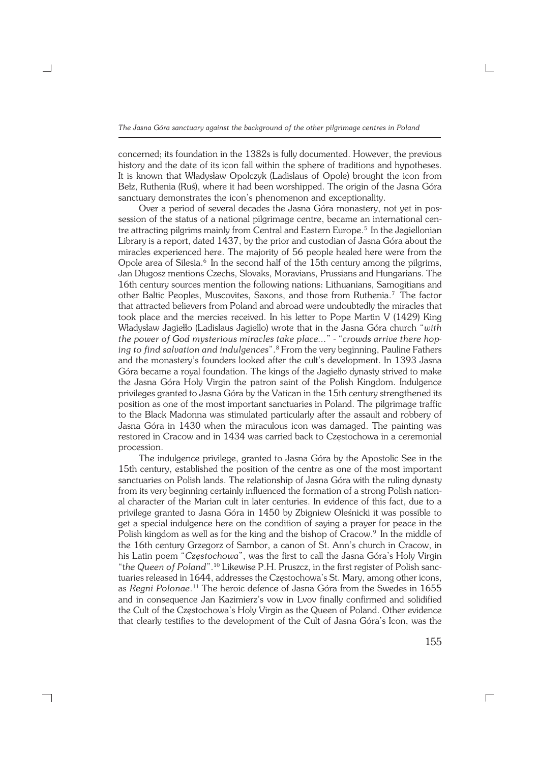concerned; its foundation in the 1382s is fully documented. However, the previous history and the date of its icon fall within the sphere of traditions and hypotheses. It is known that Władysław Opolczyk (Ladislaus of Opole) brought the icon from Bełz, Ruthenia (Ruś), where it had been worshipped. The origin of the Jasna Góra sanctuary demonstrates the icon's phenomenon and exceptionality.

Over a period of several decades the Jasna Góra monastery, not yet in pos− session of the status of a national pilgrimage centre, became an international centre attracting pilgrims mainly from Central and Eastern Europe.<sup>5</sup> In the Jagiellonian Library is a report, dated 1437, by the prior and custodian of Jasna Góra about the miracles experienced here. The majority of 56 people healed here were from the Opole area of Silesia.<sup>6</sup> In the second half of the 15th century among the pilgrims, Jan Długosz mentions Czechs, Slovaks, Moravians, Prussians and Hungarians. The 16th century sources mention the following nations: Lithuanians, Samogitians and other Baltic Peoples, Muscovites, Saxons, and those from Ruthenia.7 The factor that attracted believers from Poland and abroad were undoubtedly the miracles that took place and the mercies received. In his letter to Pope Martin V (1429) King Władysław Jagiełło (Ladislaus Jagiello) wrote that in the Jasna Góra church "*with the power of God mysterious miracles take place...*" − "*crowds arrive there hop− ing to find salvation and indulgences*".<sup>8</sup> From the very beginning, Pauline Fathers and the monastery's founders looked after the cult's development. In 1393 Jasna Góra became a royal foundation. The kings of the Jagiełło dynasty strived to make the Jasna Góra Holy Virgin the patron saint of the Polish Kingdom. Indulgence privileges granted to Jasna Góra by the Vatican in the 15th century strengthened its position as one of the most important sanctuaries in Poland. The pilgrimage traffic to the Black Madonna was stimulated particularly after the assault and robbery of Jasna Góra in 1430 when the miraculous icon was damaged. The painting was restored in Cracow and in 1434 was carried back to Częstochowa in a ceremonial procession.

The indulgence privilege, granted to Jasna Góra by the Apostolic See in the 15th century, established the position of the centre as one of the most important sanctuaries on Polish lands. The relationship of Jasna Góra with the ruling dynasty from its very beginning certainly influenced the formation of a strong Polish nation− al character of the Marian cult in later centuries. In evidence of this fact, due to a privilege granted to Jasna Góra in 1450 by Zbigniew Oleśnicki it was possible to get a special indulgence here on the condition of saying a prayer for peace in the Polish kingdom as well as for the king and the bishop of Cracow.<sup>9</sup> In the middle of the 16th century Grzegorz of Sambor, a canon of St. Ann's church in Cracow, in his Latin poem "*Częstochowa*", was the first to call the Jasna Góra's Holy Virgin "t*he Queen of Poland*".10 Likewise P.H. Pruszcz, in the first register of Polish sanc− tuaries released in 1644, addresses the Częstochowa's St. Mary, among other icons, as *Regni Polonae*. <sup>11</sup> The heroic defence of Jasna Góra from the Swedes in 1655 and in consequence Jan Kazimierz's vow in Lvov finally confirmed and solidified the Cult of the Częstochowa's Holy Virgin as the Queen of Poland. Other evidence that clearly testifies to the development of the Cult of Jasna Góra's Icon, was the

┐

155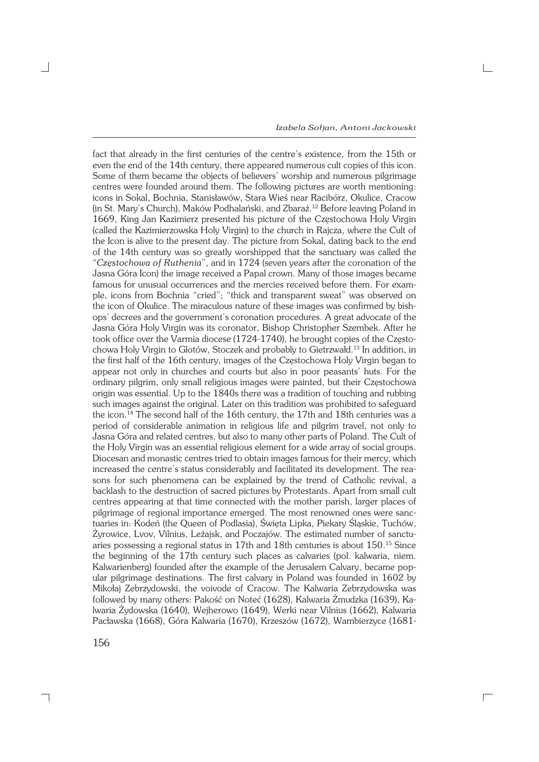$\Box$ 

fact that already in the first centuries of the centre's existence, from the 15th or even the end of the 14th century, there appeared numerous cult copies of this icon. Some of them became the objects of believers' worship and numerous pilgrimage centres were founded around them. The following pictures are worth mentioning: icons in Sokal, Bochnia, Stanisławów, Stara Wieś near Racibórz, Okulice, Cracow (in St. Mary's Church), Maków Podhalański, and Zbaraż.12 Before leaving Poland in 1669, King Jan Kazimierz presented his picture of the Częstochowa Holy Virgin (called the Kazimierzowska Holy Virgin) to the church in Rajcza, where the Cult of the Icon is alive to the present day. The picture from Sokal, dating back to the end of the 14th century was so greatly worshipped that the sanctuary was called the "*Częstochowa of Ruthenia*", and in 1724 (seven years after the coronation of the Jasna Góra Icon) the image received a Papal crown. Many of those images became famous for unusual occurrences and the mercies received before them. For exam− ple, icons from Bochnia "cried"; "thick and transparent sweat" was observed on the icon of Okulice. The miraculous nature of these images was confirmed by bish− ops' decrees and the government's coronation procedures. A great advocate of the Jasna Góra Holy Virgin was its coronator, Bishop Christopher Szembek. After he took office over the Varmia diocese (1724−1740), he brought copies of the Często− chowa Holy Virgin to Glotów, Stoczek and probably to Gietrzwałd.13 In addition, in the first half of the 16th century, images of the Częstochowa Holy Virgin began to appear not only in churches and courts but also in poor peasants' huts. For the ordinary pilgrim, only small religious images were painted, but their Częstochowa origin was essential. Up to the 1840s there was a tradition of touching and rubbing such images against the original. Later on this tradition was prohibited to safeguard the icon.<sup>14</sup> The second half of the 16th century, the 17th and 18th centuries was a period of considerable animation in religious life and pilgrim travel, not only to Jasna Góra and related centres, but also to many other parts of Poland. The Cult of the Holy Virgin was an essential religious element for a wide array of social groups. Diocesan and monastic centres tried to obtain images famous for their mercy, which increased the centre's status considerably and facilitated its development. The rea− sons for such phenomena can be explained by the trend of Catholic revival, a backlash to the destruction of sacred pictures by Protestants. Apart from small cult centres appearing at that time connected with the mother parish, larger places of pilgrimage of regional importance emerged. The most renowned ones were sanc− tuaries in: Kodeń (the Queen of Podlasia), Święta Lipka, Piekary Śląskie, Tuchów, Żyrowice, Lvov, Vilnius, Leżajsk, and Poczajów. The estimated number of sanctu− aries possessing a regional status in 17th and 18th centuries is about 150.15 Since the beginning of the 17th century such places as calvaries (pol. kalwaria, niem. Kalwarienberg) founded after the example of the Jerusalem Calvary, became pop− ular pilgrimage destinations. The first calvary in Poland was founded in 1602 by Mikołaj Zebrzydowski, the voivode of Cracow. The Kalwaria Zebrzydowska was followed by many others: Pakość on Noteć (1628), Kalwaria Żmudzka (1639), Ka− lwaria Żydowska (1640), Wejherowo (1649), Werki near Vilnius (1662), Kalwaria Pacławska (1668), Góra Kalwaria (1670), Krzeszów (1672), Wambierzyce (1681−

┐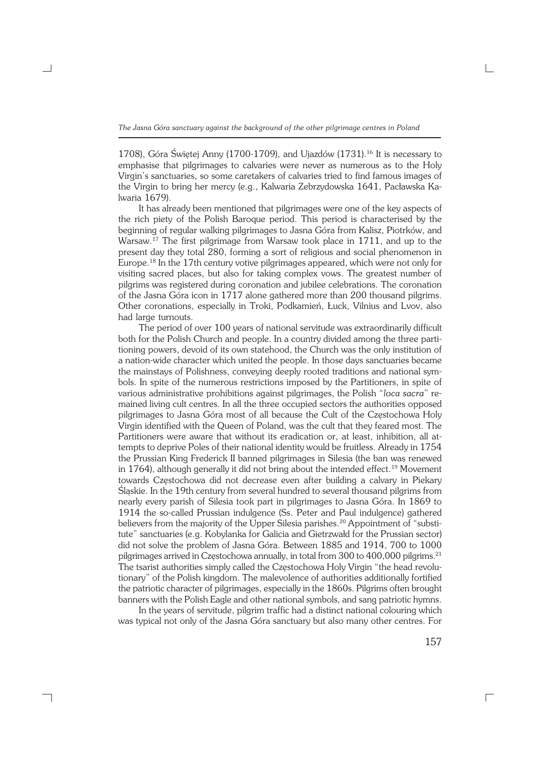*The Jasna Góra sanctuary against the background of the other pilgrimage centres in Poland*

1708), Góra Świętej Anny (1700−1709), and Ujazdów (1731).<sup>16</sup> It is necessary to emphasise that pilgrimages to calvaries were never as numerous as to the Holy Virgin's sanctuaries, so some caretakers of calvaries tried to find famous images of the Virgin to bring her mercy (e.g., Kalwaria Zebrzydowska 1641, Pacławska Ka− lwaria 1679).

It has already been mentioned that pilgrimages were one of the key aspects of the rich piety of the Polish Baroque period. This period is characterised by the beginning of regular walking pilgrimages to Jasna Góra from Kalisz, Piotrków, and Warsaw.<sup>17</sup> The first pilgrimage from Warsaw took place in 1711, and up to the present day they total 280, forming a sort of religious and social phenomenon in Europe.18 In the 17th century votive pilgrimages appeared, which were not only for visiting sacred places, but also for taking complex vows. The greatest number of pilgrims was registered during coronation and jubilee celebrations. The coronation of the Jasna Góra icon in 1717 alone gathered more than 200 thousand pilgrims. Other coronations, especially in Troki, Podkamień, Łuck, Vilnius and Lvov, also had large turnouts.

The period of over 100 years of national servitude was extraordinarily difficult both for the Polish Church and people. In a country divided among the three parti− tioning powers, devoid of its own statehood, the Church was the only institution of a nation−wide character which united the people. In those days sanctuaries became the mainstays of Polishness, conveying deeply rooted traditions and national sym− bols. In spite of the numerous restrictions imposed by the Partitioners, in spite of various administrative prohibitions against pilgrimages, the Polish "*loca sacra*" re− mained living cult centres. In all the three occupied sectors the authorities opposed pilgrimages to Jasna Góra most of all because the Cult of the Częstochowa Holy Virgin identified with the Queen of Poland, was the cult that they feared most. The Partitioners were aware that without its eradication or, at least, inhibition, all attempts to deprive Poles of their national identity would be fruitless. Already in 1754 the Prussian King Frederick II banned pilgrimages in Silesia (the ban was renewed in 1764), although generally it did not bring about the intended effect.<sup>19</sup> Movement towards Częstochowa did not decrease even after building a calvary in Piekary Śląskie. In the 19th century from several hundred to several thousand pilgrims from nearly every parish of Silesia took part in pilgrimages to Jasna Góra. In 1869 to 1914 the so−called Prussian indulgence (Ss. Peter and Paul indulgence) gathered believers from the majority of the Upper Silesia parishes.<sup>20</sup> Appointment of "substitute" sanctuaries (e.g. Kobylanka for Galicia and Gietrzwałd for the Prussian sector) did not solve the problem of Jasna Góra. Between 1885 and 1914, 700 to 1000 pilgrimages arrived in Częstochowa annually, in total from 300 to 400,000 pilgrims.<sup>21</sup> The tsarist authorities simply called the Częstochowa Holy Virgin "the head revolu− tionary" of the Polish kingdom. The malevolence of authorities additionally fortified the patriotic character of pilgrimages, especially in the 1860s. Pilgrims often brought banners with the Polish Eagle and other national symbols, and sang patriotic hymns.

In the years of servitude, pilgrim traffic had a distinct national colouring which was typical not only of the Jasna Góra sanctuary but also many other centres. For

┑

157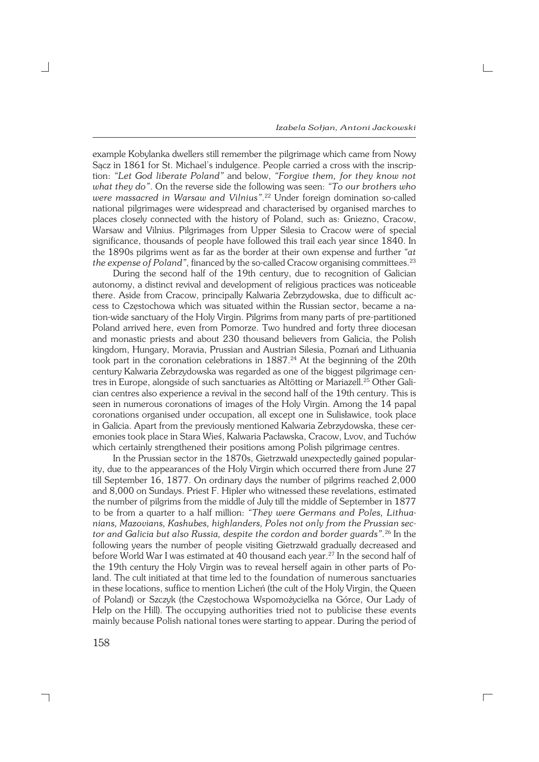$\Box$ 

example Kobylanka dwellers still remember the pilgrimage which came from Nowy Sącz in 1861 for St. Michael's indulgence. People carried a cross with the inscrip− tion: *"Let God liberate Poland"* and below, *"Forgive them, for they know not what they do"*. On the reverse side the following was seen: *"To our brothers who were massacred in Warsaw and Vilnius"*. <sup>22</sup> Under foreign domination so−called national pilgrimages were widespread and characterised by organised marches to places closely connected with the history of Poland, such as: Gniezno, Cracow, Warsaw and Vilnius. Pilgrimages from Upper Silesia to Cracow were of special significance, thousands of people have followed this trail each year since 1840. In the 1890s pilgrims went as far as the border at their own expense and further *"at* the expense of Poland", financed by the so-called Cracow organising committees.<sup>23</sup>

During the second half of the 19th century, due to recognition of Galician autonomy, a distinct revival and development of religious practices was noticeable there. Aside from Cracow, principally Kalwaria Zebrzydowska, due to difficult ac− cess to Częstochowa which was situated within the Russian sector, became a na− tion−wide sanctuary of the Holy Virgin. Pilgrims from many parts of pre−partitioned Poland arrived here, even from Pomorze. Two hundred and forty three diocesan and monastic priests and about 230 thousand believers from Galicia, the Polish kingdom, Hungary, Moravia, Prussian and Austrian Silesia, Poznań and Lithuania took part in the coronation celebrations in 1887.<sup>24</sup> At the beginning of the 20th century Kalwaria Zebrzydowska was regarded as one of the biggest pilgrimage cen− tres in Europe, alongside of such sanctuaries as Altötting or Mariazell.25 Other Gali− cian centres also experience a revival in the second half of the 19th century. This is seen in numerous coronations of images of the Holy Virgin. Among the 14 papal coronations organised under occupation, all except one in Sulisławice, took place in Galicia. Apart from the previously mentioned Kalwaria Zebrzydowska, these cer− emonies took place in Stara Wieś, Kalwaria Pacławska, Cracow, Lvov, and Tuchów which certainly strengthened their positions among Polish pilgrimage centres.

In the Prussian sector in the 1870s, Gietrzwałd unexpectedly gained popular− ity, due to the appearances of the Holy Virgin which occurred there from June 27 till September 16, 1877. On ordinary days the number of pilgrims reached 2,000 and 8,000 on Sundays. Priest F. Hipler who witnessed these revelations, estimated the number of pilgrims from the middle of July till the middle of September in 1877 to be from a quarter to a half million: *"They were Germans and Poles, Lithua− nians, Mazovians, Kashubes, highlanders, Poles not only from the Prussian sec− tor and Galicia but also Russia, despite the cordon and border guards"*. <sup>26</sup> In the following years the number of people visiting Gietrzwałd gradually decreased and before World War I was estimated at 40 thousand each year.<sup>27</sup> In the second half of the 19th century the Holy Virgin was to reveal herself again in other parts of Po− land. The cult initiated at that time led to the foundation of numerous sanctuaries in these locations, suffice to mention Licheń (the cult of the Holy Virgin, the Queen of Poland) or Szczyk (the Częstochowa Wspomożycielka na Górce, Our Lady of Help on the Hill). The occupying authorities tried not to publicise these events mainly because Polish national tones were starting to appear. During the period of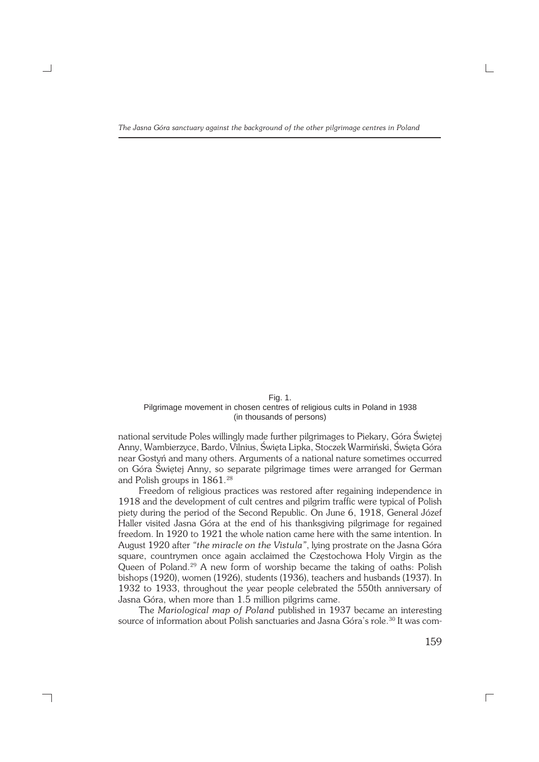#### Fig. 1. Pilgrimage movement in chosen centres of religious cults in Poland in 1938 (in thousands of persons)

national servitude Poles willingly made further pilgrimages to Piekary, Góra Świętej Anny, Wambierzyce, Bardo, Vilnius, Święta Lipka, Stoczek Warmiński, Święta Góra near Gostyń and many others. Arguments of a national nature sometimes occurred on Góra Świętej Anny, so separate pilgrimage times were arranged for German and Polish groups in 1861.<sup>28</sup>

Freedom of religious practices was restored after regaining independence in 1918 and the development of cult centres and pilgrim traffic were typical of Polish piety during the period of the Second Republic. On June 6, 1918, General Józef Haller visited Jasna Góra at the end of his thanksgiving pilgrimage for regained freedom. In 1920 to 1921 the whole nation came here with the same intention. In August 1920 after *"the miracle on the Vistula"*, lying prostrate on the Jasna Góra square, countrymen once again acclaimed the Częstochowa Holy Virgin as the Queen of Poland.<sup>29</sup> A new form of worship became the taking of oaths: Polish bishops (1920), women (1926), students (1936), teachers and husbands (1937). In 1932 to 1933, throughout the year people celebrated the 550th anniversary of Jasna Góra, when more than 1.5 million pilgrims came.

The *Mariological map of Poland* published in 1937 became an interesting source of information about Polish sanctuaries and Jasna Góra's role.<sup>30</sup> It was com-

┑

159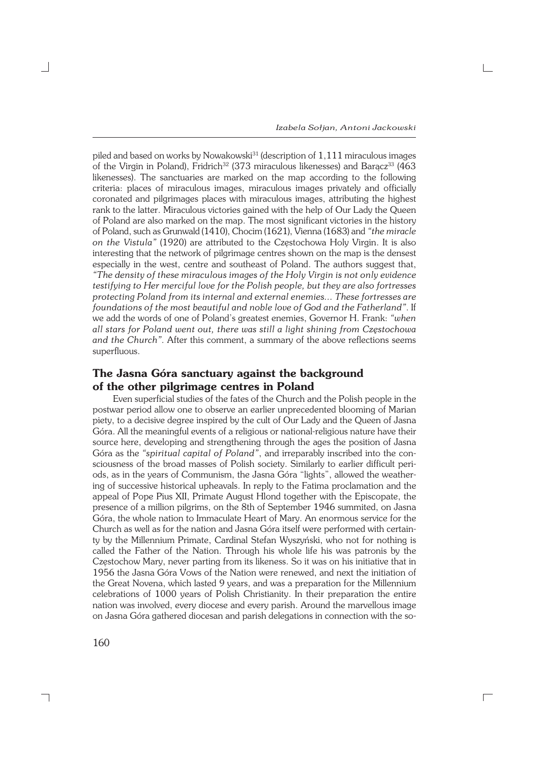$\Box$ 

piled and based on works by Nowakowski<sup>31</sup> (description of 1,111 miraculous images of the Virgin in Poland), Fridrich<sup>32</sup> (373 miraculous likenesses) and Baracz<sup>33</sup> (463 likenesses). The sanctuaries are marked on the map according to the following criteria: places of miraculous images, miraculous images privately and officially coronated and pilgrimages places with miraculous images, attributing the highest rank to the latter. Miraculous victories gained with the help of Our Lady the Queen of Poland are also marked on the map. The most significant victories in the history of Poland, such as Grunwald (1410), Chocim (1621), Vienna (1683) and *"the miracle on the Vistula"* (1920) are attributed to the Częstochowa Holy Virgin. It is also interesting that the network of pilgrimage centres shown on the map is the densest especially in the west, centre and southeast of Poland. The authors suggest that, *"The density of these miraculous images of the Holy Virgin is not only evidence testifying to Her merciful love for the Polish people, but they are also fortresses protecting Poland from its internal and external enemies... These fortresses are foundations of the most beautiful and noble love of God and the Fatherland"*. If we add the words of one of Poland's greatest enemies, Governor H. Frank: *"when all stars for Poland went out, there was still a light shining from Częstochowa and the Church"*. After this comment, a summary of the above reflections seems superfluous.

# **The Jasna Góra sanctuary against the background of the other pilgrimage centres in Poland**

Even superficial studies of the fates of the Church and the Polish people in the postwar period allow one to observe an earlier unprecedented blooming of Marian piety, to a decisive degree inspired by the cult of Our Lady and the Queen of Jasna Góra. All the meaningful events of a religious or national−religious nature have their source here, developing and strengthening through the ages the position of Jasna Góra as the *"spiritual capital of Poland"*, and irreparably inscribed into the con− sciousness of the broad masses of Polish society. Similarly to earlier difficult peri− ods, as in the years of Communism, the Jasna Góra "lights", allowed the weather− ing of successive historical upheavals. In reply to the Fatima proclamation and the appeal of Pope Pius XII, Primate August Hlond together with the Episcopate, the presence of a million pilgrims, on the 8th of September 1946 summited, on Jasna Góra, the whole nation to Immaculate Heart of Mary. An enormous service for the Church as well as for the nation and Jasna Góra itself were performed with certain− ty by the Millennium Primate, Cardinal Stefan Wyszyński, who not for nothing is called the Father of the Nation. Through his whole life his was patronis by the Częstochow Mary, never parting from its likeness. So it was on his initiative that in 1956 the Jasna Góra Vows of the Nation were renewed, and next the initiation of the Great Novena, which lasted 9 years, and was a preparation for the Millennium celebrations of 1000 years of Polish Christianity. In their preparation the entire nation was involved, every diocese and every parish. Around the marvellous image on Jasna Góra gathered diocesan and parish delegations in connection with the so−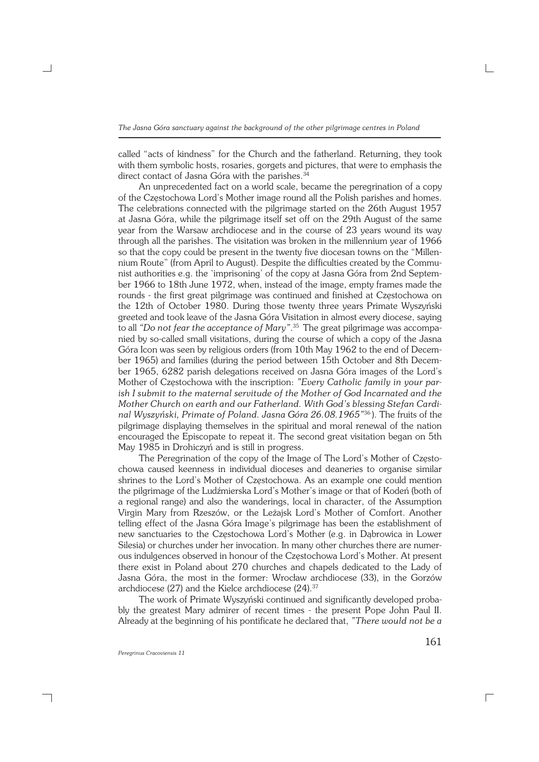called "acts of kindness" for the Church and the fatherland. Returning, they took with them symbolic hosts, rosaries, gorgets and pictures, that were to emphasis the direct contact of Jasna Góra with the parishes.<sup>34</sup>

An unprecedented fact on a world scale, became the peregrination of a copy of the Częstochowa Lord's Mother image round all the Polish parishes and homes. The celebrations connected with the pilgrimage started on the 26th August 1957 at Jasna Góra, while the pilgrimage itself set off on the 29th August of the same year from the Warsaw archdiocese and in the course of 23 years wound its way through all the parishes. The visitation was broken in the millennium year of 1966 so that the copy could be present in the twenty five diocesan towns on the "Millen− nium Route" (from April to August). Despite the difficulties created by the Communist authorities e.g. the `imprisoning' of the copy at Jasna Góra from 2nd Septem− ber 1966 to 18th June 1972, when, instead of the image, empty frames made the rounds − the first great pilgrimage was continued and finished at Częstochowa on the 12th of October 1980. During those twenty three years Primate Wyszyński greeted and took leave of the Jasna Góra Visitation in almost every diocese, saying to all *"Do not fear the acceptance of Mary"*. <sup>35</sup> The great pilgrimage was accompa− nied by so−called small visitations, during the course of which a copy of the Jasna Góra Icon was seen by religious orders (from 10th May 1962 to the end of Decem− ber 1965) and families (during the period between 15th October and 8th Decem− ber 1965, 6282 parish delegations received on Jasna Góra images of the Lord's Mother of Częstochowa with the inscription: *"Every Catholic family in your par− ish I submit to the maternal servitude of the Mother of God Incarnated and the Mother Church on earth and our Fatherland. With God's blessing Stefan Cardi− nal Wyszyński, Primate of Poland. Jasna Góra 26.08.1965"*<sup>36</sup> ). The fruits of the pilgrimage displaying themselves in the spiritual and moral renewal of the nation encouraged the Episcopate to repeat it. The second great visitation began on 5th May 1985 in Drohiczyń and is still in progress.

The Peregrination of the copy of the Image of The Lord's Mother of Często− chowa caused keenness in individual dioceses and deaneries to organise similar shrines to the Lord's Mother of Częstochowa. As an example one could mention the pilgrimage of the Ludźmierska Lord's Mother's image or that of Kodeń (both of a regional range) and also the wanderings, local in character, of the Assumption Virgin Mary from Rzeszów, or the Leżajsk Lord's Mother of Comfort. Another telling effect of the Jasna Góra Image's pilgrimage has been the establishment of new sanctuaries to the Częstochowa Lord's Mother (e.g. in Dąbrowica in Lower Silesia) or churches under her invocation. In many other churches there are numer− ous indulgences observed in honour of the Częstochowa Lord's Mother. At present there exist in Poland about 270 churches and chapels dedicated to the Lady of Jasna Góra, the most in the former: Wrocław archdiocese (33), in the Gorzów archdiocese (27) and the Kielce archdiocese (24).<sup>37</sup>

The work of Primate Wyszyński continued and significantly developed proba− bly the greatest Mary admirer of recent times − the present Pope John Paul II. Already at the beginning of his pontificate he declared that, *"There would not be a*

┐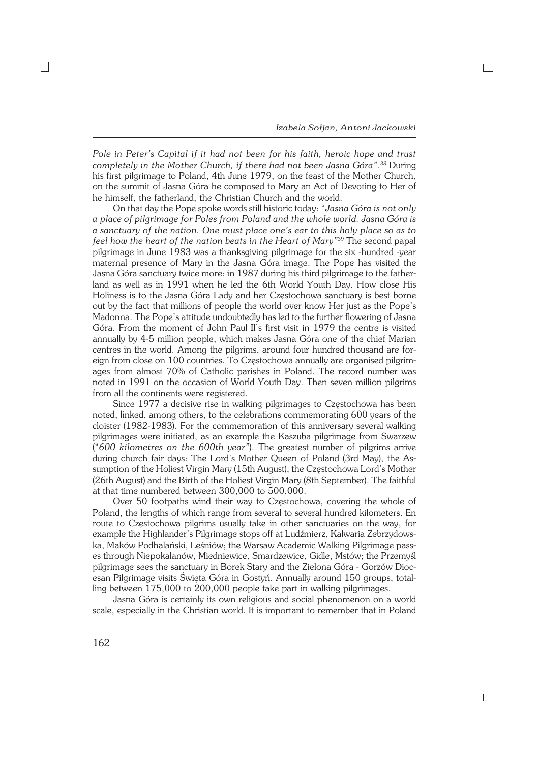*Pole in Peter's Capital if it had not been for his faith, heroic hope and trust completely in the Mother Church, if there had not been Jasna Góra".<sup>38</sup>* During his first pilgrimage to Poland, 4th June 1979, on the feast of the Mother Church, on the summit of Jasna Góra he composed to Mary an Act of Devoting to Her of he himself, the fatherland, the Christian Church and the world.

On that day the Pope spoke words still historic today: "*Jasna Góra is not only aplace of pilgrimage for Poles from Poland and the whole world. Jasna Góra is a sanctuary of the nation. One must place one's ear to this holy place so as to feel how the heart of the nation beats in the Heart of Mary"*<sup>39</sup> The second papal pilgrimage in June 1983 was a thanksgiving pilgrimage for the six −hundred −year maternal presence of Mary in the Jasna Góra image. The Pope has visited the Jasna Góra sanctuary twice more: in 1987 during his third pilgrimage to the father− land as well as in 1991 when he led the 6th World Youth Day. How close His Holiness is to the Jasna Góra Lady and her Częstochowa sanctuary is best borne out by the fact that millions of people the world over know Her just as the Pope's Madonna. The Pope's attitude undoubtedly has led to the further flowering of Jasna Góra. From the moment of John Paul II's first visit in 1979 the centre is visited annually by 4−5 million people, which makes Jasna Góra one of the chief Marian centres in the world. Among the pilgrims, around four hundred thousand are for− eign from close on 100 countries. To Częstochowa annually are organised pilgrim− ages from almost 70% of Catholic parishes in Poland. The record number was noted in 1991 on the occasion of World Youth Day. Then seven million pilgrims from all the continents were registered.

Since 1977 a decisive rise in walking pilgrimages to Częstochowa has been noted, linked, among others, to the celebrations commemorating 600 years of the cloister (1982−1983). For the commemoration of this anniversary several walking pilgrimages were initiated, as an example the Kaszuba pilgrimage from Swarzew ("*600 kilometres on the 600th year"*). The greatest number of pilgrims arrive during church fair days: The Lord's Mother Queen of Poland (3rd May), the As− sumption of the Holiest Virgin Mary (15th August), the Częstochowa Lord's Mother (26th August) and the Birth of the Holiest Virgin Mary (8th September). The faithful at that time numbered between 300,000 to 500,000.

Over 50 footpaths wind their way to Częstochowa, covering the whole of Poland, the lengths of which range from several to several hundred kilometers. En route to Częstochowa pilgrims usually take in other sanctuaries on the way, for example the Highlander's Pilgrimage stops off at Ludźmierz, Kalwaria Zebrzydows− ka, Maków Podhalański, Leśniów; the Warsaw Academic Walking Pilgrimage pass− es through Niepokalanów, Miedniewice, Smardzewice, Gidle, Mstów; the Przemyśl pilgrimage sees the sanctuary in Borek Stary and the Zielona Góra − Gorzów Dioc− esan Pilgrimage visits Święta Góra in Gostyń. Annually around 150 groups, total− ling between 175,000 to 200,000 people take part in walking pilgrimages.

Jasna Góra is certainly its own religious and social phenomenon on a world scale, especially in the Christian world. It is important to remember that in Poland

 $\Box$ 

┑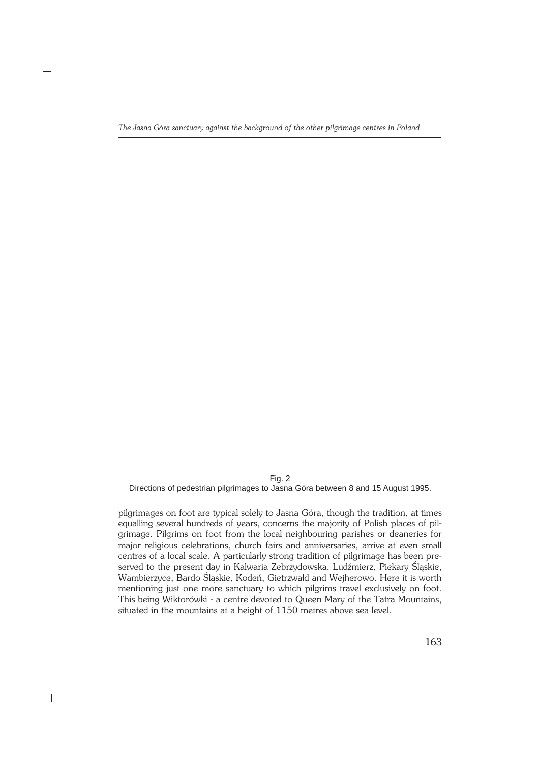Fig. 2 Directions of pedestrian pilgrimages to Jasna Góra between 8 and 15 August 1995.

pilgrimages on foot are typical solely to Jasna Góra, though the tradition, at times equalling several hundreds of years, concerns the majority of Polish places of pil− grimage. Pilgrims on foot from the local neighbouring parishes or deaneries for major religious celebrations, church fairs and anniversaries, arrive at even small centres of a local scale. A particularly strong tradition of pilgrimage has been pre− served to the present day in Kalwaria Zebrzydowska, Ludźmierz, Piekary Śląskie, Wambierzyce, Bardo Śląskie, Kodeń, Gietrzwałd and Wejherowo. Here it is worth mentioning just one more sanctuary to which pilgrims travel exclusively on foot. This being Wiktorówki - a centre devoted to Queen Mary of the Tatra Mountains, situated in the mountains at a height of 1150 metres above sea level.

┑

163

 $\Box$ 

 $\sqcup$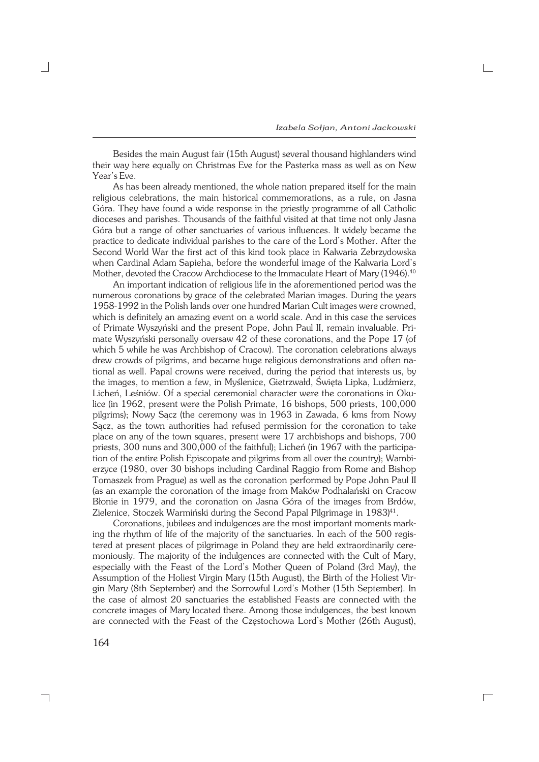$\Box$ 

Besides the main August fair (15th August) several thousand highlanders wind their way here equally on Christmas Eve for the Pasterka mass as well as on New Year's Eve.

As has been already mentioned, the whole nation prepared itself for the main religious celebrations, the main historical commemorations, as a rule, on Jasna Góra. They have found a wide response in the priestly programme of all Catholic dioceses and parishes. Thousands of the faithful visited at that time not only Jasna Góra but a range of other sanctuaries of various influences. It widely became the practice to dedicate individual parishes to the care of the Lord's Mother. After the Second World War the first act of this kind took place in Kalwaria Zebrzydowska when Cardinal Adam Sapieha, before the wonderful image of the Kalwaria Lord's Mother, devoted the Cracow Archdiocese to the Immaculate Heart of Mary (1946).<sup>40</sup>

An important indication of religious life in the aforementioned period was the numerous coronations by grace of the celebrated Marian images. During the years 1958−1992 in the Polish lands over one hundred Marian Cult images were crowned, which is definitely an amazing event on a world scale. And in this case the services of Primate Wyszyński and the present Pope, John Paul II, remain invaluable. Pri− mate Wyszyński personally oversaw 42 of these coronations, and the Pope 17 (of which 5 while he was Archbishop of Cracow). The coronation celebrations always drew crowds of pilgrims, and became huge religious demonstrations and often na− tional as well. Papal crowns were received, during the period that interests us, by the images, to mention a few, in Myślenice, Gietrzwałd, Święta Lipka, Ludźmierz, Licheń, Leśniów. Of a special ceremonial character were the coronations in Oku− lice (in 1962, present were the Polish Primate, 16 bishops, 500 priests, 100,000 pilgrims); Nowy Sącz (the ceremony was in 1963 in Zawada, 6 kms from Nowy Sącz, as the town authorities had refused permission for the coronation to take place on any of the town squares, present were 17 archbishops and bishops, 700 priests, 300 nuns and 300,000 of the faithful); Licheń (in 1967 with the participa− tion of the entire Polish Episcopate and pilgrims from all over the country); Wambi− erzyce (1980, over 30 bishops including Cardinal Raggio from Rome and Bishop Tomaszek from Prague) as well as the coronation performed by Pope John Paul II (as an example the coronation of the image from Maków Podhalański on Cracow Błonie in 1979, and the coronation on Jasna Góra of the images from Brdów, Zielenice, Stoczek Warmiński during the Second Papal Pilgrimage in 1983)<sup>41</sup>.

Coronations, jubilees and indulgences are the most important moments mark− ing the rhythm of life of the majority of the sanctuaries. In each of the 500 regis− tered at present places of pilgrimage in Poland they are held extraordinarily cere− moniously. The majority of the indulgences are connected with the Cult of Mary, especially with the Feast of the Lord's Mother Queen of Poland (3rd May), the Assumption of the Holiest Virgin Mary (15th August), the Birth of the Holiest Vir− gin Mary (8th September) and the Sorrowful Lord's Mother (15th September). In the case of almost 20 sanctuaries the established Feasts are connected with the concrete images of Mary located there. Among those indulgences, the best known are connected with the Feast of the Częstochowa Lord's Mother (26th August),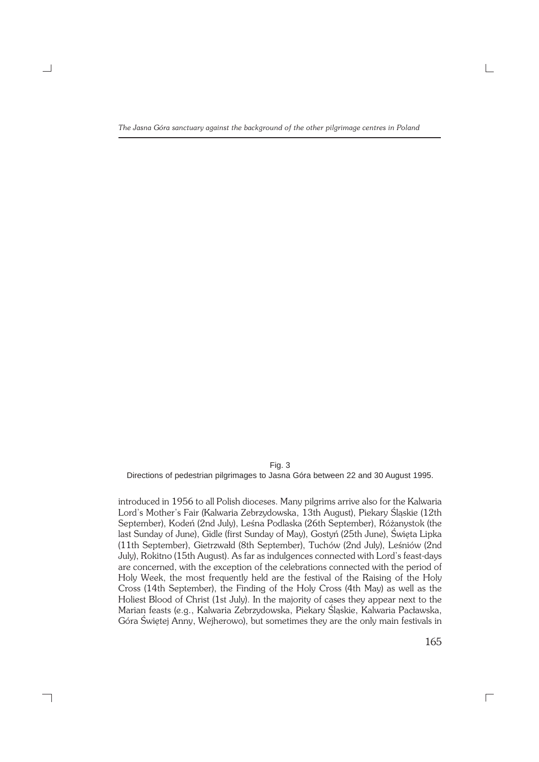Fig. 3 Directions of pedestrian pilgrimages to Jasna Góra between 22 and 30 August 1995.

introduced in 1956 to all Polish dioceses. Many pilgrims arrive also for the Kalwaria Lord's Mother's Fair (Kalwaria Zebrzydowska, 13th August), Piekary Śląskie (12th September), Kodeń (2nd July), Leśna Podlaska (26th September), Różanystok (the last Sunday of June), Gidle (first Sunday of May), Gostyń (25th June), Święta Lipka (11th September), Gietrzwałd (8th September), Tuchów (2nd July), Leśniów (2nd July), Rokitno (15th August). As far as indulgences connected with Lord's feast−days are concerned, with the exception of the celebrations connected with the period of Holy Week, the most frequently held are the festival of the Raising of the Holy Cross (14th September), the Finding of the Holy Cross (4th May) as well as the Holiest Blood of Christ (1st July). In the majority of cases they appear next to the Marian feasts (e.g., Kalwaria Zebrzydowska, Piekary Śląskie, Kalwaria Pacławska, Góra Świętej Anny, Wejherowo), but sometimes they are the only main festivals in

┑

165

 $\overline{\Gamma}$ 

 $\sqcup$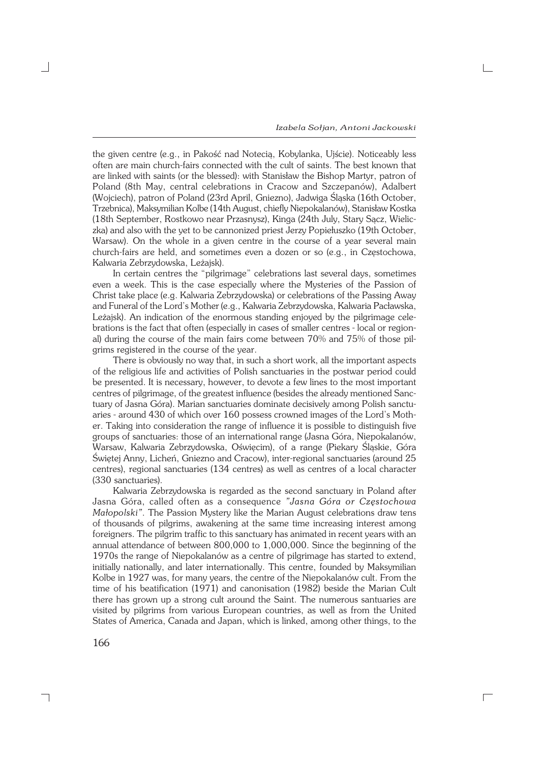$\Box$ 

the given centre (e.g., in Pakość nad Notecią, Kobylanka, Ujście). Noticeably less often are main church−fairs connected with the cult of saints. The best known that are linked with saints (or the blessed): with Stanisław the Bishop Martyr, patron of Poland (8th May, central celebrations in Cracow and Szczepanów), Adalbert (Wojciech), patron of Poland (23rd April, Gniezno), Jadwiga Śląska (16th October, Trzebnica), Maksymilian Kolbe (14th August, chiefly Niepokalanów), Stanisław Kostka (18th September, Rostkowo near Przasnysz), Kinga (24th July, Stary Sącz, Wielic− zka) and also with the yet to be cannonized priest Jerzy Popiełuszko (19th October, Warsaw). On the whole in a given centre in the course of a year several main church−fairs are held, and sometimes even a dozen or so (e.g., in Częstochowa, Kalwaria Zebrzydowska, Leżajsk).

In certain centres the "pilgrimage" celebrations last several days, sometimes even a week. This is the case especially where the Mysteries of the Passion of Christ take place (e.g. Kalwaria Zebrzydowska) or celebrations of the Passing Away and Funeral of the Lord's Mother (e.g., Kalwaria Zebrzydowska, Kalwaria Pacławska, Leżajsk). An indication of the enormous standing enjoyed by the pilgrimage cele− brations is the fact that often (especially in cases of smaller centres − local or region− al) during the course of the main fairs come between 70% and 75% of those pil− grims registered in the course of the year.

There is obviously no way that, in such a short work, all the important aspects of the religious life and activities of Polish sanctuaries in the postwar period could be presented. It is necessary, however, to devote a few lines to the most important centres of pilgrimage, of the greatest influence (besides the already mentioned Sanc− tuary of Jasna Góra). Marian sanctuaries dominate decisively among Polish sanctu− aries − around 430 of which over 160 possess crowned images of the Lord's Moth− er. Taking into consideration the range of influence it is possible to distinguish five groups of sanctuaries: those of an international range (Jasna Góra, Niepokalanów, Warsaw, Kalwaria Zebrzydowska, Oświęcim), of a range (Piekary Śląskie, Góra Świętej Anny, Licheń, Gniezno and Cracow), inter−regional sanctuaries (around 25 centres), regional sanctuaries (134 centres) as well as centres of a local character (330 sanctuaries).

Kalwaria Zebrzydowska is regarded as the second sanctuary in Poland after Jasna Góra, called often as a consequence *"Jasna Góra or Częstochowa Małopolski"*. The Passion Mystery like the Marian August celebrations draw tens of thousands of pilgrims, awakening at the same time increasing interest among foreigners. The pilgrim traffic to this sanctuary has animated in recent years with an annual attendance of between 800,000 to 1,000,000. Since the beginning of the 1970s the range of Niepokalanów as a centre of pilgrimage has started to extend, initially nationally, and later internationally. This centre, founded by Maksymilian Kolbe in 1927 was, for many years, the centre of the Niepokalanów cult. From the time of his beatification (1971) and canonisation (1982) beside the Marian Cult there has grown up a strong cult around the Saint. The numerous santuaries are visited by pilgrims from various European countries, as well as from the United States of America, Canada and Japan, which is linked, among other things, to the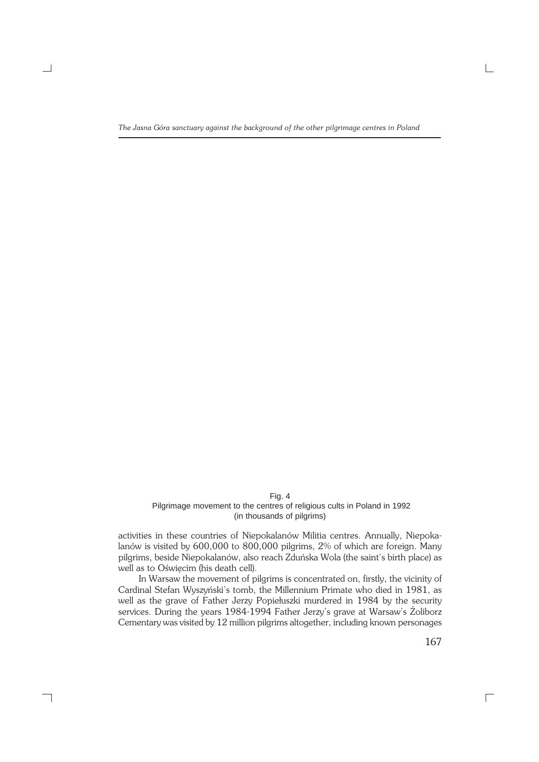Fig. 4 Pilgrimage movement to the centres of religious cults in Poland in 1992 (in thousands of pilgrims)

activities in these countries of Niepokalanów Militia centres. Annually, Niepoka− lanów is visited by 600,000 to 800,000 pilgrims, 2% of which are foreign. Many pilgrims, beside Niepokalanów, also reach Zduńska Wola (the saint's birth place) as well as to Oświęcim (his death cell).

In Warsaw the movement of pilgrims is concentrated on, firstly, the vicinity of Cardinal Stefan Wyszyński's tomb, the Millennium Primate who died in 1981, as well as the grave of Father Jerzy Popiełuszki murdered in 1984 by the security services. During the years 1984−1994 Father Jerzy's grave at Warsaw's Żoliborz Cementary was visited by 12 million pilgrims altogether, including known personages

┑

167

 $\overline{\phantom{a}}$ 

 $\sqcup$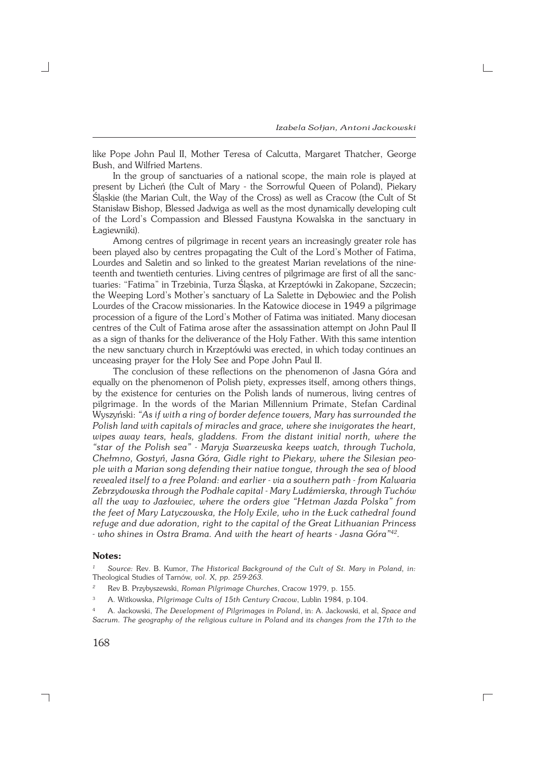like Pope John Paul II, Mother Teresa of Calcutta, Margaret Thatcher, George Bush, and Wilfried Martens.

In the group of sanctuaries of a national scope, the main role is played at present by Licheń (the Cult of Mary − the Sorrowful Queen of Poland), Piekary Śląskie (the Marian Cult, the Way of the Cross) as well as Cracow (the Cult of St Stanisław Bishop, Blessed Jadwiga as well as the most dynamically developing cult of the Lord's Compassion and Blessed Faustyna Kowalska in the sanctuary in Łagiewniki).

Among centres of pilgrimage in recent years an increasingly greater role has been played also by centres propagating the Cult of the Lord's Mother of Fatima, Lourdes and Saletin and so linked to the greatest Marian revelations of the nine− teenth and twentieth centuries. Living centres of pilgrimage are first of all the sanc− tuaries: "Fatima" in Trzebinia, Turza Śląska, at Krzeptówki in Zakopane, Szczecin; the Weeping Lord's Mother's sanctuary of La Salette in Dębowiec and the Polish Lourdes of the Cracow missionaries. In the Katowice diocese in 1949 a pilgrimage procession of a figure of the Lord's Mother of Fatima was initiated. Many diocesan centres of the Cult of Fatima arose after the assassination attempt on John Paul II as a sign of thanks for the deliverance of the Holy Father. With this same intention the new sanctuary church in Krzeptówki was erected, in which today continues an unceasing prayer for the Holy See and Pope John Paul II.

The conclusion of these reflections on the phenomenon of Jasna Góra and equally on the phenomenon of Polish piety, expresses itself, among others things, by the existence for centuries on the Polish lands of numerous, living centres of pilgrimage. In the words of the Marian Millennium Primate, Stefan Cardinal Wyszyński: *"As if with a ring of border defence towers, Mary has surrounded the Polish land with capitals of miracles and grace, where she invigorates the heart, wipes away tears, heals, gladdens. From the distant initial north, where the "star of the Polish sea" − Maryja Swarzewska keeps watch, through Tuchola, Chełmno, Gostyń, Jasna Góra, Gidle right to Piekary, where the Silesian peo− ple with a Marian song defending their native tongue, through the sea of blood revealed itself to a free Poland: and earlier − via a southern path − from Kalwaria Zebrzydowska through the Podhale capital − Mary Ludźmierska, through Tuchów all the way to Jazłowiec, where the orders give "Hetman Jazda Polska" from the feet of Mary Latyczowska, the Holy Exile, who in the Łuck cathedral found refuge and due adoration, right to the capital of the Great Lithuanian Princess − who shines in Ostra Brama. And with the heart of hearts − Jasna Góra"<sup>42</sup> .*

#### **Notes:**

*<sup>1</sup> Source:* Rev. B. Kumor, *The Historical Background of the Cult of St. Mary in Poland, in:* Theological Studies of Tarnów*, vol. X, pp. 259−263.*

*<sup>2</sup>* Rev B. Przybyszewski, *Roman Pilgrimage Churches*, Cracow 1979, p. 155.

<sup>3</sup> A. Witkowska, *Pilgrimage Cults of 15th Century Cracow*, Lublin 1984, p.104.

<sup>4</sup> A. Jackowski, *The Development of Pilgrimages in Poland*, in: A. Jackowski, et al, *Space and Sacrum. The geography of the religious culture in Poland and its changes from the 17th to the*

 $\overline{\Gamma}$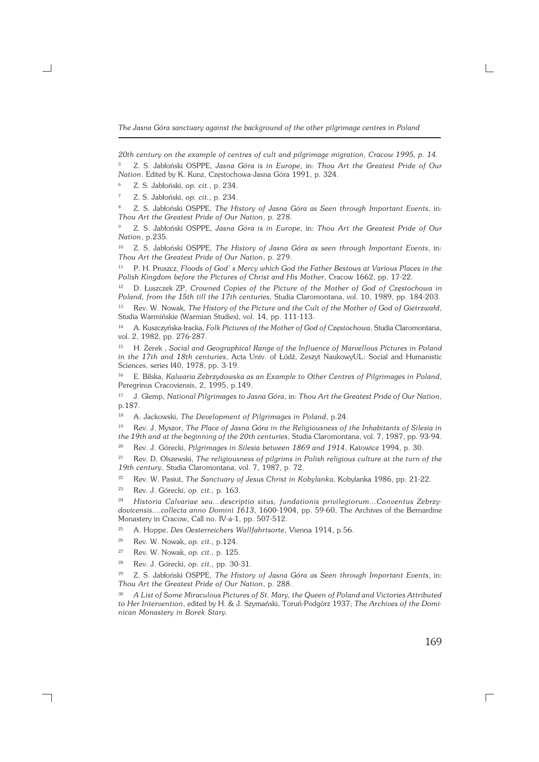*The Jasna Góra sanctuary against the background of the other pilgrimage centres in Poland*

*20th century on the example of centres of cult and pilgrimage migration, Cracow 1995, p. 14. <sup>5</sup>* Z. S. Jabłoński OSPPE, *Jasna Góra is in Europe*, in: *Thou Art the Greatest Pride of Our Nation*. Edited by K. Kunz, Częstochowa−Jasna Góra 1991, p. 324.

<sup>6</sup> Z. S. Jabłoński, *op. cit.*, p. 234.

<sup>7</sup> Z. S. Jabłoński, *op. cit.*, p. 234.

<sup>8</sup> Z. S. Jabłoński OSPPE, *The History of Jasna Góra as Seen through Important Events*, in: *Thou Art the Greatest Pride of Our Nation*, p. 278.

<sup>9</sup> Z. S. Jabłoński OSPPE, *Jasna Góra is in Europe*, in: *Thou Art the Greatest Pride of Our Nation*, p.235.

<sup>10</sup> Z. S. Jabłoński OSPPE, *The History of Jasna Góra as seen through Important Events*, in: *Thou Art the Greatest Pride of Our Nation*, p. 279.

<sup>11</sup> P. H. Pruszcz, *Floods of God' s Mercy which God the Father Bestows at Various Places in the Polish Kingdom before the Pictures of Christ and His Mother*, Cracow 1662, pp. 17−22.

<sup>12</sup> D. Łuszczek ZP, *Crowned Copies of the Picture of the Mother of God of Częstochowa in Poland, from the 15th till the 17th centuries*, Studia Claromontana, vol. 10, 1989, pp. 184−203.

<sup>13</sup> Rev. W. Nowak, *The History of the Picture and the Cult of the Mother of God of Gietrzwałd*, Studia Warmińskie (Warmian Studies), vol. 14, pp. 111−113.

<sup>14</sup> A. Kuszczyńska−Iracka, *Folk Pictures of the Mother of God of Częstochowa*, Studia Claromontana, vol. 2, 1982, pp. 276−287.

<sup>15</sup> H. Żerek , *Social and Geographical Range of the Influence of Marvellous Pictures in Poland in the 17th and 18th centuries*, Acta Univ. of Łódź, Zeszyt NaukowyUL: Social and Humanistic Sciences, series I40, 1978, pp. 3−19.

<sup>16</sup> E. Bilska, *Kalwaria Zebrzydowska as an Example to Other Centres of Pilgrimages in Poland*, Peregrinus Cracoviensis, 2, 1995, p.149.

<sup>17</sup> J. Glemp, *National Pilgrimages to Jasna Góra*, in: *Thou Art the Greatest Pride of Our Nation*, p.187.

<sup>18</sup> A. Jackowski, *The Development of Pilgrimages in Poland*, p.24.

<sup>19</sup> Rev. J. Myszor, *The Place of Jasna Góra in the Religiousness of the Inhabitants of Silesia in the 19th and at the beginning of the 20th centuries*, Studia Claromontana, vol. 7, 1987, pp. 93−94.

<sup>20</sup> Rev. J. Górecki, *Pilgrimages in Silesia between 1869 and 1914*, Katowice 1994, p. 30.

<sup>21</sup> Rev. D. Olszewski, *The religiousness of pilgrims in Polish religious culture at the turn of the 19th century*, Studia Claromontana, vol. 7, 1987, p. 72.

<sup>22</sup> Rev. W. Pasiut, *The Sanctuary of Jesus Christ in Kobylanka*, Kobylanka 1986, pp. 21−22.

<sup>23</sup> Rev. J. Górecki, *op. cit.*, p. 163.

<sup>24</sup> *Historia Calvariae seu...descriptio situs, fundationis privilegiorum...Conventus Zebrzy− dovicensis....collecta anno Domini 1613*, 1600−1904, pp. 59−60, The Archives of the Bernardine Monastery in Cracow, Call no. IV−a−1, pp. 507−512.

<sup>25</sup> A. Hoppe, *Des Oesterreichers Wallfahrtsorte*, Vienna 1914, p.56.

<sup>26</sup> Rev. W. Nowak, *op. cit.*, p.124.

<sup>27</sup> Rev. W. Nowak, *op. cit.*, p. 125.

┑

<sup>28</sup> Rev. J. Górecki, *op. cit.*, pp. 30−31.

<sup>29</sup> Z. S. Jabłoński OSPPE, *The History of Jasna Góra as Seen through Important Events*, in: *Thou Art the Greatest Pride of Our Nation*, p. 288.

<sup>30</sup> *A List of Some Miraculous Pictures of St. Mary, the Queen of Poland and Victories Attributed to Her Intervention*, edited by H. & J. Szymański, Toruń−Podgórz 1937; *The Archives of the Domi− nican Monastery in Borek Stary.*

169